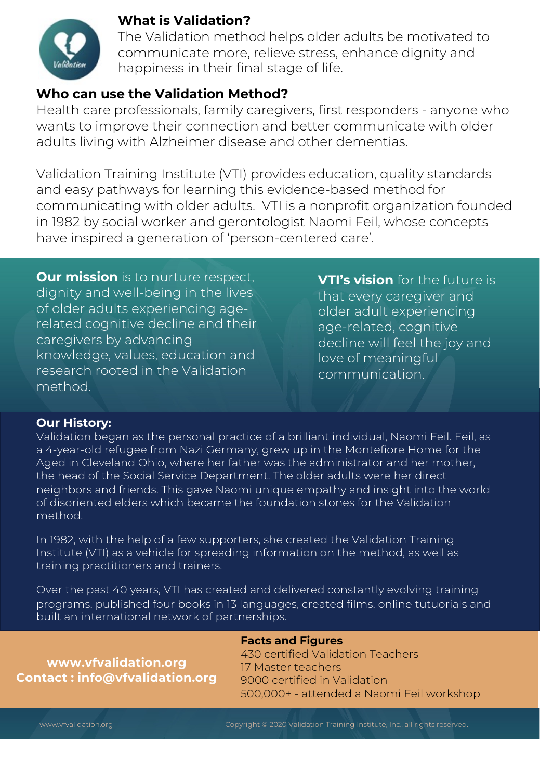

### **What is Validation?**

The Validation method helps older adults be motivated to communicate more, relieve stress, enhance dignity and happiness in their final stage of life.

### **Who can use the Validation Method?**

Health care professionals, family caregivers, first responders - anyone who wants to improve their connection and better communicate with older adults living with Alzheimer disease and other dementias.

Validation Training Institute (VTI) provides education, quality standards and easy pathways for learning this evidence-based method for communicating with older adults. VTI is a nonprofit organization founded in 1982 by social worker and gerontologist Naomi Feil, whose concepts have inspired a generation of 'person-centered care'.

**Our mission** is to nurture respect, dignity and well-being in the lives of older adults experiencing agerelated cognitive decline and their caregivers by advancing knowledge, values, education and research rooted in the Validation method.

**VTI's vision** for the future is that every caregiver and older adult experiencing age-related, cognitive decline will feel the joy and love of meaningful communication.

### **Our History:**

Validation began as the personal practice of a brilliant individual, Naomi Feil. Feil, as a 4-year-old refugee from Nazi Germany, grew up in the Montefiore Home for the Aged in Cleveland Ohio, where her father was the administrator and her mother, the head of the Social Service Department. The older adults were her direct neighbors and friends. This gave Naomi unique empathy and insight into the world of disoriented elders which became the foundation stones for the Validation method.

In 1982, with the help of a few supporters, she created the Validation Training Institute (VTI) as a vehicle for spreading information on the method, as well as training practitioners and trainers.

Over the past 40 years, VTI has created and delivered constantly evolving training programs, published four books in 13 languages, created films, online tutuorials and built an international network of partnerships.

**www.vfvalidation.org Contact : info@vfvalidation.org**

#### **Facts and Figures**

430 certified Validation Teachers 17 Master teachers 9000 certified in Validation 500,000+ - attended a Naomi Feil workshop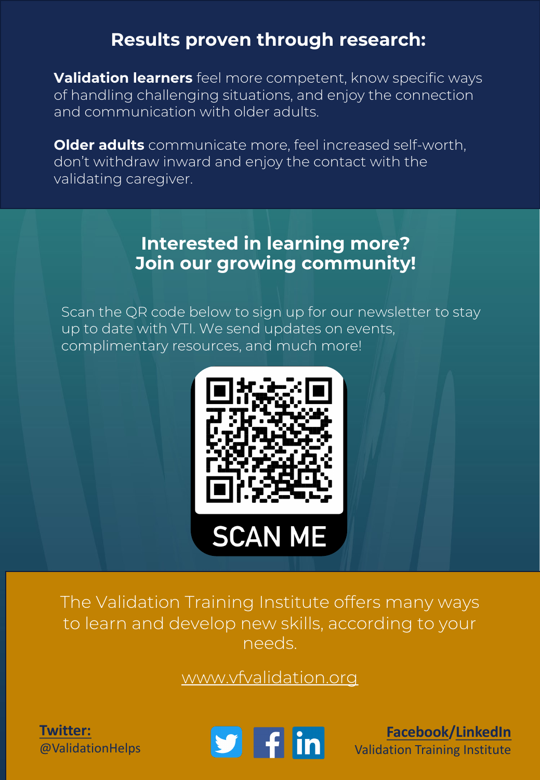# **Results proven through research:**

**Validation learners** feel more competent, know specific ways of handling challenging situations, and enjoy the connection and communication with older adults.

**Older adults** communicate more, feel increased self-worth, don't withdraw inward and enjoy the contact with the validating caregiver.

## **Interested in learning more? Join our growing community!**

Scan the QR code below to sign up for our newsletter to stay up to date with VTI. We send updates on events, complimentary resources, and much more!



The Validation Training Institute offers many ways to learn and develop new skills, according to your needs.

[www.vfvalidation.org](http://www.vfvalidation.org/)

**[Twitter:](https://twitter.com/validationhelps)** @ValidationHelps



**[Facebook](https://www.facebook.com/Validation-Training-Institute-VTI-180270068675784/)/[LinkedIn](https://www.linkedin.com/company/validation-training-institute?trk=biz-companies-cyf)** Validation Training Institute